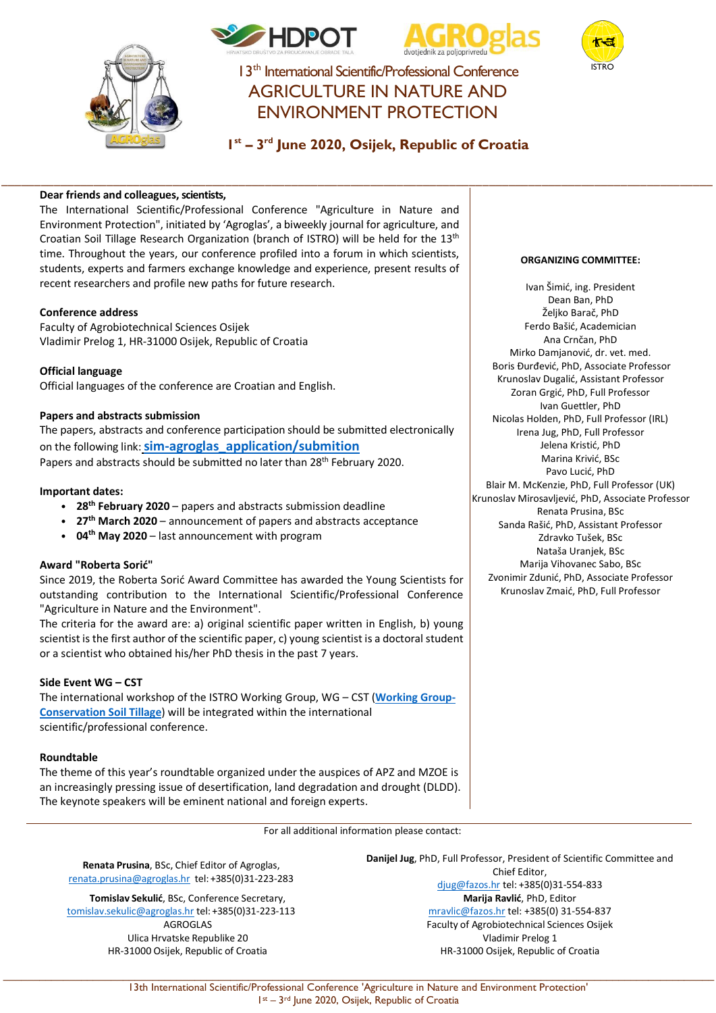





I 3<sup>th</sup> International Scientific/Professional Conference AGRICULTURE IN NATURE AND ENVIRONMENT PROTECTION

# **1st – 3rd June 2020, Osijek, Republic of Croatia**

\_\_\_\_\_\_\_\_\_\_\_\_\_\_\_\_\_\_\_\_\_\_\_\_\_\_\_\_\_\_\_\_\_\_\_\_\_\_\_\_\_\_\_\_\_\_\_\_\_\_\_\_\_\_\_\_\_\_\_\_\_\_\_\_\_\_\_\_\_\_\_\_\_\_\_\_\_\_\_\_\_\_\_\_\_\_\_\_\_\_\_\_\_\_\_\_\_\_\_\_\_\_\_\_\_\_\_\_

## **Dear friends and colleagues, scientists,**

The International Scientific/Professional Conference "Agriculture in Nature and Environment Protection", initiated by 'Agroglas', a biweekly journal for agriculture, and Croatian Soil Tillage Research Organization (branch of ISTRO) will be held for the 13th time. Throughout the years, our conference profiled into a forum in which scientists, students, experts and farmers exchange knowledge and experience, present results of recent researchers and profile new paths for future research.

## **Conference address**

Faculty of Agrobiotechnical Sciences Osijek Vladimir Prelog 1, HR-31000 Osijek, Republic of Croatia

**Official language** Official languages of the conference are Croatian and English.

## **Papers and abstracts submission**

The papers, abstracts and conference participation should be submitted electronically on the following link:**[sim-agroglas\\_application/submition](https://script.google.com/macros/s/AKfycbwi3ztHbe0MDfChZ6cdTkntR4wFvdBO6QvGA2C3bmntsbBKhzzi/exec)** Papers and abstracts should be submitted no later than 28<sup>th</sup> February 2020.

## **Important dates:**

- **28th February 2020** papers and abstracts submission deadline
- **27th March 2020** announcement of papers and abstracts acceptance
- **04th May 2020** last announcement with program

## **Award "Roberta Sorić"**

Since 2019, the Roberta Sorić Award Committee has awarded the Young Scientists for outstanding contribution to the International Scientific/Professional Conference "Agriculture in Nature and the Environment".

The criteria for the award are: a) original scientific paper written in English, b) young scientist is the first author of the scientific paper, c) young scientist is a doctoral student or a scientist who obtained his/her PhD thesis in the past 7 years.

## **Side Event WG – CST**

The international workshop of the ISTRO Working Group, WG – CST (**[Working Group-](https://www.istro.org/index.php/working-groups/wg-c-conservation-soil-tillage)[Conservation Soil Tillage](https://www.istro.org/index.php/working-groups/wg-c-conservation-soil-tillage)**) will be integrated within the international scientific/professional conference.

## **Roundtable**

The theme of this year's roundtable organized under the auspices of APZ and MZOE is an increasingly pressing issue of desertification, land degradation and drought (DLDD). The keynote speakers will be eminent national and foreign experts.

For all additional information please contact:

**Renata Prusina**, BSc, Chief Editor of Agroglas, [renata.prusina@agroglas.hr](mailto:renata.prusina@agroglas.hr) tel: +385(0)31-223-283

**Tomislav Sekulić**, BSc, Conference Secretary, [tomislav.sekulic@agroglas.hr](mailto:tomislav.sekulic@agroglas.hr) tel: +385(0)31-223-113 AGROGLAS Ulica Hrvatske Republike 20 HR-31000 Osijek, Republic of Croatia

**Danijel Jug**, PhD, Full Professor, President of Scientific Committee and Chief Editor, [djug@fazos.hr](mailto:djug@fazos.hr) tel: +385(0)31-554-833 **Marija Ravlić**, PhD, Editor [mravlic@fazos.hr](mailto:mravlic@fazos.hr) tel: +385(0) 31-554-837 Faculty of Agrobiotechnical Sciences Osijek Vladimir Prelog 1 HR-31000 Osijek, Republic of Croatia

#### **ORGANIZING COMMITTEE:**

Ivan Šimić, ing. President Dean Ban, PhD Željko Barač, PhD Ferdo Bašić, Academician Ana Crnčan, PhD Mirko Damjanović, dr. vet. med. Boris Đurđević, PhD, Associate Professor Krunoslav Dugalić, Assistant Professor Zoran Grgić, PhD, Full Professor Ivan Guettler, PhD Nicolas Holden, PhD, Full Professor (IRL) Irena Jug, PhD, Full Professor Jelena Kristić, PhD Marina Krivić, BSc Pavo Lucić, PhD Blair M. McKenzie, PhD, Full Professor (UK) Krunoslav Mirosavljević, PhD, Associate Professor Renata Prusina, BSc Sanda Rašić, PhD, Assistant Professor Zdravko Tušek, BSc Nataša Uranjek, BSc Marija Vihovanec Sabo, BSc Zvonimir Zdunić, PhD, Associate Professor Krunoslav Zmaić, PhD, Full Professor